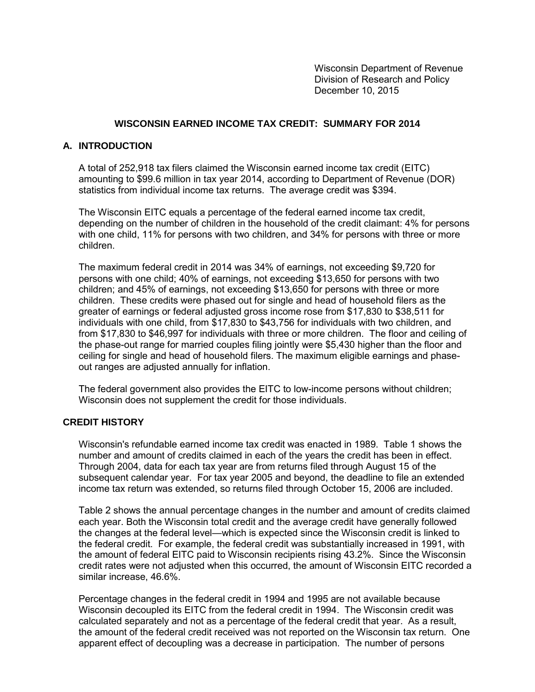Wisconsin Department of Revenue Division of Research and Policy December 10, 2015

# **WISCONSIN EARNED INCOME TAX CREDIT: SUMMARY FOR 2014**

# **A. INTRODUCTION**

A total of 252,918 tax filers claimed the Wisconsin earned income tax credit (EITC) amounting to \$99.6 million in tax year 2014, according to Department of Revenue (DOR) statistics from individual income tax returns. The average credit was \$394.

The Wisconsin EITC equals a percentage of the federal earned income tax credit, depending on the number of children in the household of the credit claimant: 4% for persons with one child, 11% for persons with two children, and 34% for persons with three or more children.

The maximum federal credit in 2014 was 34% of earnings, not exceeding \$9,720 for persons with one child; 40% of earnings, not exceeding \$13,650 for persons with two children; and 45% of earnings, not exceeding \$13,650 for persons with three or more children. These credits were phased out for single and head of household filers as the greater of earnings or federal adjusted gross income rose from \$17,830 to \$38,511 for individuals with one child, from \$17,830 to \$43,756 for individuals with two children, and from \$17,830 to \$46,997 for individuals with three or more children. The floor and ceiling of the phase-out range for married couples filing jointly were \$5,430 higher than the floor and ceiling for single and head of household filers. The maximum eligible earnings and phaseout ranges are adjusted annually for inflation.

The federal government also provides the EITC to low-income persons without children; Wisconsin does not supplement the credit for those individuals.

### **CREDIT HISTORY**

Wisconsin's refundable earned income tax credit was enacted in 1989. Table 1 shows the number and amount of credits claimed in each of the years the credit has been in effect. Through 2004, data for each tax year are from returns filed through August 15 of the subsequent calendar year. For tax year 2005 and beyond, the deadline to file an extended income tax return was extended, so returns filed through October 15, 2006 are included.

Table 2 shows the annual percentage changes in the number and amount of credits claimed each year. Both the Wisconsin total credit and the average credit have generally followed the changes at the federal level—which is expected since the Wisconsin credit is linked to the federal credit. For example, the federal credit was substantially increased in 1991, with the amount of federal EITC paid to Wisconsin recipients rising 43.2%. Since the Wisconsin credit rates were not adjusted when this occurred, the amount of Wisconsin EITC recorded a similar increase, 46.6%.

Percentage changes in the federal credit in 1994 and 1995 are not available because Wisconsin decoupled its EITC from the federal credit in 1994. The Wisconsin credit was calculated separately and not as a percentage of the federal credit that year. As a result, the amount of the federal credit received was not reported on the Wisconsin tax return. One apparent effect of decoupling was a decrease in participation. The number of persons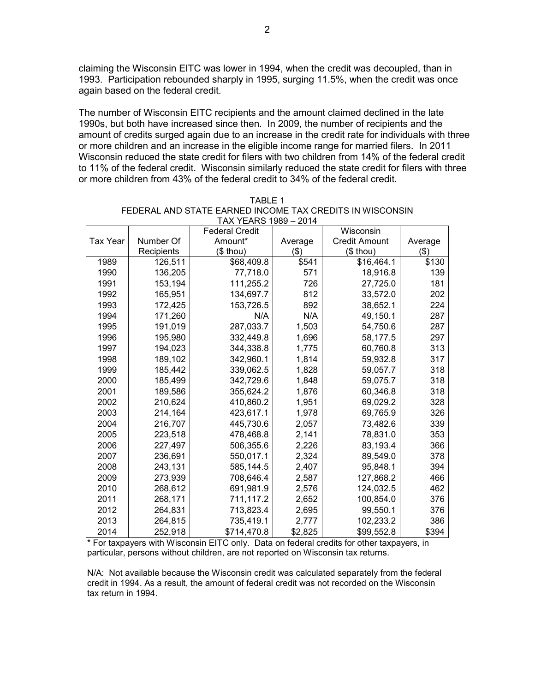claiming the Wisconsin EITC was lower in 1994, when the credit was decoupled, than in 1993. Participation rebounded sharply in 1995, surging 11.5%, when the credit was once again based on the federal credit.

The number of Wisconsin EITC recipients and the amount claimed declined in the late 1990s, but both have increased since then. In 2009, the number of recipients and the amount of credits surged again due to an increase in the credit rate for individuals with three or more children and an increase in the eligible income range for married filers. In 2011 Wisconsin reduced the state credit for filers with two children from 14% of the federal credit to 11% of the federal credit. Wisconsin similarly reduced the state credit for filers with three or more children from 43% of the federal credit to 34% of the federal credit.

| $1771$ $117110$ $1303 - 2014$ |            |                       |         |                      |         |  |  |  |
|-------------------------------|------------|-----------------------|---------|----------------------|---------|--|--|--|
|                               |            | <b>Federal Credit</b> |         | Wisconsin            |         |  |  |  |
| <b>Tax Year</b>               | Number Of  | Amount*               | Average | <b>Credit Amount</b> | Average |  |  |  |
|                               | Recipients | (\$ thou)             | ( \$)   | (\$ thou)            | $($ \$) |  |  |  |
| 1989                          | 126,511    | \$68,409.8            | \$541   | \$16,464.1           | \$130   |  |  |  |
| 1990                          | 136,205    | 77,718.0              | 571     | 18,916.8             | 139     |  |  |  |
| 1991                          | 153,194    | 111,255.2             | 726     | 27,725.0             | 181     |  |  |  |
| 1992                          | 165,951    | 134,697.7             | 812     | 33,572.0             | 202     |  |  |  |
| 1993                          | 172,425    | 153,726.5             | 892     | 38,652.1             | 224     |  |  |  |
| 1994                          | 171,260    | N/A                   | N/A     | 49,150.1             | 287     |  |  |  |
| 1995                          | 191,019    | 287,033.7             | 1,503   | 54,750.6             | 287     |  |  |  |
| 1996                          | 195,980    | 332,449.8             | 1,696   | 58,177.5             | 297     |  |  |  |
| 1997                          | 194,023    | 344,338.8             | 1,775   | 60,760.8             | 313     |  |  |  |
| 1998                          | 189,102    | 342,960.1             | 1,814   | 59,932.8             | 317     |  |  |  |
| 1999                          | 185,442    | 339,062.5             | 1,828   | 59,057.7             | 318     |  |  |  |
| 2000                          | 185,499    | 342,729.6             | 1,848   | 59,075.7             | 318     |  |  |  |
| 2001                          | 189,586    | 355,624.2             | 1,876   | 60,346.8             | 318     |  |  |  |
| 2002                          | 210,624    | 410,860.2             | 1,951   | 69,029.2             | 328     |  |  |  |
| 2003                          | 214,164    | 423,617.1             | 1,978   | 69,765.9             | 326     |  |  |  |
| 2004                          | 216,707    | 445,730.6             | 2,057   | 73,482.6             | 339     |  |  |  |
| 2005                          | 223,518    | 478,468.8             | 2,141   | 78,831.0             | 353     |  |  |  |
| 2006                          | 227,497    | 506,355.6             | 2,226   | 83,193.4             | 366     |  |  |  |
| 2007                          | 236,691    | 550,017.1             | 2,324   | 89,549.0             | 378     |  |  |  |
| 2008                          | 243,131    | 585,144.5             | 2,407   | 95,848.1             | 394     |  |  |  |
| 2009                          | 273,939    | 708,646.4             | 2,587   | 127,868.2            | 466     |  |  |  |
| 2010                          | 268,612    | 691,981.9             | 2,576   | 124,032.5            | 462     |  |  |  |
| 2011                          | 268,171    | 711,117.2             | 2,652   | 100,854.0            | 376     |  |  |  |
| 2012                          | 264,831    | 713,823.4             | 2,695   | 99,550.1             | 376     |  |  |  |
| 2013                          | 264,815    | 735,419.1             | 2,777   | 102,233.2            | 386     |  |  |  |
| 2014                          | 252,918    | \$714,470.8           | \$2,825 | \$99,552.8           | \$394   |  |  |  |

| TABLE 1                                                  |
|----------------------------------------------------------|
| FEDERAL AND STATE EARNED INCOME TAX CREDITS IN WISCONSIN |
| TAX YEARS 1989 - 2014                                    |

\* For taxpayers with Wisconsin EITC only. Data on federal credits for other taxpayers, in particular, persons without children, are not reported on Wisconsin tax returns.

N/A: Not available because the Wisconsin credit was calculated separately from the federal credit in 1994. As a result, the amount of federal credit was not recorded on the Wisconsin tax return in 1994.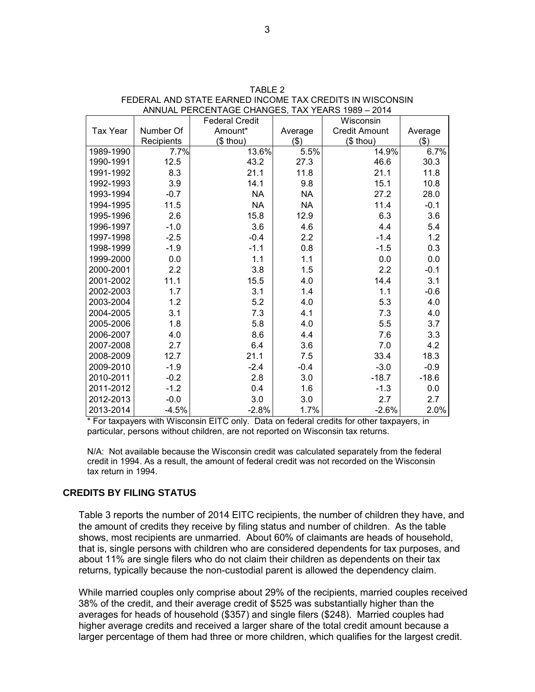|                 |            | <b>Federal Credit</b> |           | Wisconsin            |         |
|-----------------|------------|-----------------------|-----------|----------------------|---------|
| <b>Tax Year</b> | Number Of  | Amount*               | Average   | <b>Credit Amount</b> | Average |
|                 | Recipients | $($$ thou)            | $($ \$)   | $($$ thou)           | \$)     |
| 1989-1990       | 7.7%       | 13.6%                 | 5.5%      | 14.9%                | 6.7%    |
| 1990-1991       | 12.5       | 43.2                  | 27.3      | 46.6                 | 30.3    |
| 1991-1992       | 8.3        | 21.1                  | 11.8      | 21.1                 | 11.8    |
| 1992-1993       | 3.9        | 14.1                  | 9.8       | 15.1                 | 10.8    |
| 1993-1994       | $-0.7$     | <b>NA</b>             | <b>NA</b> | 27.2                 | 28.0    |
| 1994-1995       | 11.5       | <b>NA</b>             | <b>NA</b> | 11.4                 | $-0.1$  |
| 1995-1996       | 2.6        | 15.8                  | 12.9      | 6.3                  | 3.6     |
| 1996-1997       | $-1.0$     | 3.6                   | 4.6       | 4.4                  | 5.4     |
| 1997-1998       | $-2.5$     | $-0.4$                | 2.2       | $-1.4$               | 1.2     |
| 1998-1999       | $-1.9$     | $-1.1$                | 0.8       | $-1.5$               | 0.3     |
| 1999-2000       | 0.0        | 1.1                   | 1.1       | 0.0                  | 0.0     |
| 2000-2001       | 2.2        | 3.8                   | 1.5       | 2.2                  | $-0.1$  |
| 2001-2002       | 11.1       | 15.5                  | 4.0       | 14.4                 | 3.1     |
| 2002-2003       | 1.7        | 3.1                   | 1.4       | 1.1                  | $-0.6$  |
| 2003-2004       | 1.2        | 5.2                   | 4.0       | 5.3                  | 4.0     |
| 2004-2005       | 3.1        | 7.3                   | 4.1       | 7.3                  | 4.0     |
| 2005-2006       | 1.8        | 5.8                   | 4.0       | 5.5                  | 3.7     |
| 2006-2007       | 4.0        | 8.6                   | 4.4       | 7.6                  | 3.3     |
| 2007-2008       | 2.7        | 6.4                   | 3.6       | 7.0                  | 4.2     |
| 2008-2009       | 12.7       | 21.1                  | 7.5       | 33.4                 | 18.3    |
| 2009-2010       | $-1.9$     | $-2.4$                | $-0.4$    | $-3.0$               | $-0.9$  |
| 2010-2011       | $-0.2$     | 2.8                   | 3.0       | $-18.7$              | $-18.6$ |
| 2011-2012       | $-1.2$     | 0.4                   | 1.6       | $-1.3$               | 0.0     |
| 2012-2013       | $-0.0$     | 3.0                   | 3.0       | 2.7                  | 2.7     |
| 2013-2014       | $-4.5%$    | $-2.8%$               | 1.7%      | $-2.6%$              | 2.0%    |

TABLE 2 FEDERAL AND STATE EARNED INCOME TAX CREDITS IN WISCONSIN ANNUAL PERCENTAGE CHANGES, TAX YEARS 1989 – 2014

\* For taxpayers with Wisconsin EITC only. Data on federal credits for other taxpayers, in particular, persons without children, are not reported on Wisconsin tax returns.

N/A: Not available because the Wisconsin credit was calculated separately from the federal credit in 1994. As a result, the amount of federal credit was not recorded on the Wisconsin tax return in 1994.

### **CREDITS BY FILING STATUS**

Table 3 reports the number of 2014 EITC recipients, the number of children they have, and the amount of credits they receive by filing status and number of children. As the table shows, most recipients are unmarried. About 60% of claimants are heads of household, that is, single persons with children who are considered dependents for tax purposes, and about 11% are single filers who do not claim their children as dependents on their tax returns, typically because the non-custodial parent is allowed the dependency claim.

While married couples only comprise about 29% of the recipients, married couples received 38% of the credit, and their average credit of \$525 was substantially higher than the averages for heads of household (\$357) and single filers (\$248). Married couples had higher average credits and received a larger share of the total credit amount because a larger percentage of them had three or more children, which qualifies for the largest credit.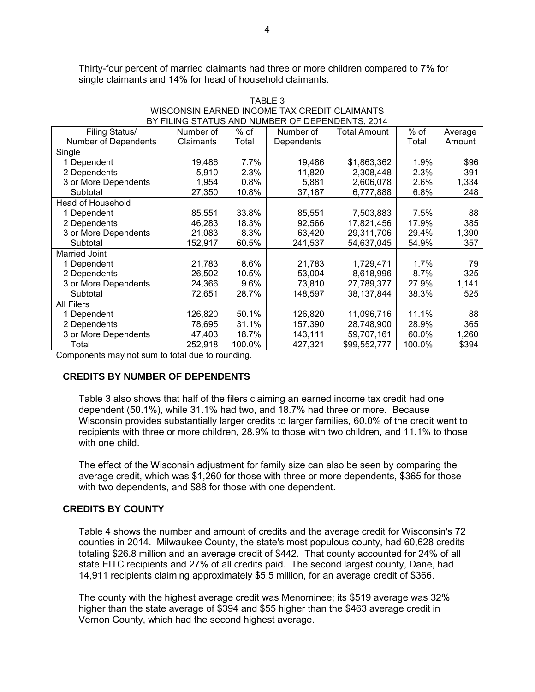Thirty-four percent of married claimants had three or more children compared to 7% for single claimants and 14% for head of household claimants.

| Filing Status/           | Number of | $%$ of | Number of  | Total Amount | $%$ of | Average |
|--------------------------|-----------|--------|------------|--------------|--------|---------|
| Number of Dependents     | Claimants | Total  | Dependents |              | Total  | Amount  |
| Single                   |           |        |            |              |        |         |
| 1 Dependent              | 19,486    | 7.7%   | 19,486     | \$1,863,362  | 1.9%   | \$96    |
| 2 Dependents             | 5,910     | 2.3%   | 11,820     | 2,308,448    | 2.3%   | 391     |
| 3 or More Dependents     | 1,954     | 0.8%   | 5,881      | 2,606,078    | 2.6%   | 1,334   |
| Subtotal                 | 27,350    | 10.8%  | 37,187     | 6,777,888    | 6.8%   | 248     |
| <b>Head of Household</b> |           |        |            |              |        |         |
| 1 Dependent              | 85,551    | 33.8%  | 85,551     | 7,503,883    | 7.5%   | 88      |
| 2 Dependents             | 46,283    | 18.3%  | 92,566     | 17,821,456   | 17.9%  | 385     |
| 3 or More Dependents     | 21,083    | 8.3%   | 63,420     | 29,311,706   | 29.4%  | 1,390   |
| Subtotal                 | 152,917   | 60.5%  | 241,537    | 54,637,045   | 54.9%  | 357     |
| Married Joint            |           |        |            |              |        |         |
| 1 Dependent              | 21,783    | 8.6%   | 21,783     | 1,729,471    | 1.7%   | 79      |
| 2 Dependents             | 26,502    | 10.5%  | 53,004     | 8,618,996    | 8.7%   | 325     |
| 3 or More Dependents     | 24,366    | 9.6%   | 73,810     | 27,789,377   | 27.9%  | 1,141   |
| Subtotal                 | 72,651    | 28.7%  | 148,597    | 38,137,844   | 38.3%  | 525     |
| All Filers               |           |        |            |              |        |         |
| 1 Dependent              | 126,820   | 50.1%  | 126,820    | 11,096,716   | 11.1%  | 88      |
| 2 Dependents             | 78,695    | 31.1%  | 157,390    | 28,748,900   | 28.9%  | 365     |
| 3 or More Dependents     | 47,403    | 18.7%  | 143,111    | 59,707,161   | 60.0%  | 1,260   |
| Total                    | 252,918   | 100.0% | 427,321    | \$99,552,777 | 100.0% | \$394   |

| TABLE 3                                         |
|-------------------------------------------------|
| WISCONSIN EARNED INCOME TAX CREDIT CLAIMANTS    |
| BY FILING STATUS AND NUMBER OF DEPENDENTS. 2014 |

Components may not sum to total due to rounding.

### **CREDITS BY NUMBER OF DEPENDENTS**

Table 3 also shows that half of the filers claiming an earned income tax credit had one dependent (50.1%), while 31.1% had two, and 18.7% had three or more. Because Wisconsin provides substantially larger credits to larger families, 60.0% of the credit went to recipients with three or more children, 28.9% to those with two children, and 11.1% to those with one child.

The effect of the Wisconsin adjustment for family size can also be seen by comparing the average credit, which was \$1,260 for those with three or more dependents, \$365 for those with two dependents, and \$88 for those with one dependent.

### **CREDITS BY COUNTY**

Table 4 shows the number and amount of credits and the average credit for Wisconsin's 72 counties in 2014. Milwaukee County, the state's most populous county, had 60,628 credits totaling \$26.8 million and an average credit of \$442. That county accounted for 24% of all state EITC recipients and 27% of all credits paid. The second largest county, Dane, had 14,911 recipients claiming approximately \$5.5 million, for an average credit of \$366.

The county with the highest average credit was Menominee; its \$519 average was 32% higher than the state average of \$394 and \$55 higher than the \$463 average credit in Vernon County, which had the second highest average.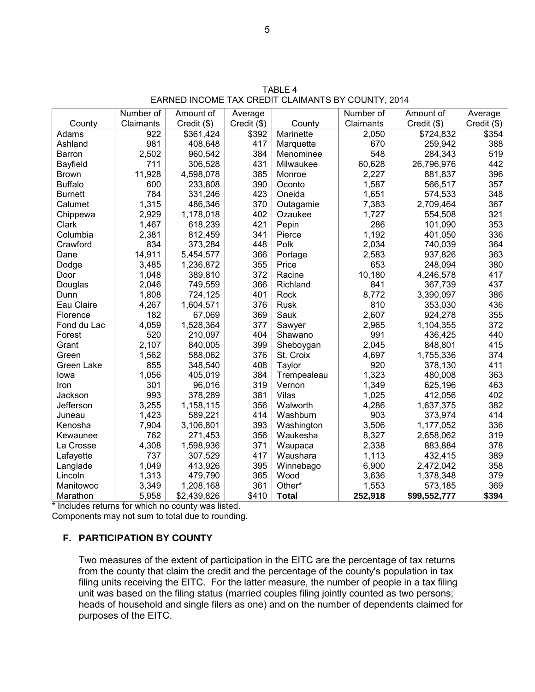|                | Number of | Amount of   | Average     |              | Number of | Amount of    | Average       |
|----------------|-----------|-------------|-------------|--------------|-----------|--------------|---------------|
| County         | Claimants | Credit (\$) | Credit (\$) | County       | Claimants | Credit (\$)  | $Credit$ (\$) |
| Adams          | 922       | \$361,424   | \$392       | Marinette    | 2,050     | \$724,832    | \$354         |
| Ashland        | 981       | 408,648     | 417         | Marquette    | 670       | 259,942      | 388           |
| Barron         | 2,502     | 960,542     | 384         | Menominee    | 548       | 284,343      | 519           |
| Bayfield       | 711       | 306,528     | 431         | Milwaukee    | 60,628    | 26,796,976   | 442           |
| <b>Brown</b>   | 11,928    | 4,598,078   | 385         | Monroe       | 2,227     | 881,837      | 396           |
| <b>Buffalo</b> | 600       | 233,808     | 390         | Oconto       | 1,587     | 566,517      | 357           |
| <b>Burnett</b> | 784       | 331,246     | 423         | Oneida       | 1,651     | 574,533      | 348           |
| Calumet        | 1,315     | 486,346     | 370         | Outagamie    | 7,383     | 2,709,464    | 367           |
| Chippewa       | 2,929     | 1,178,018   | 402         | Ozaukee      | 1,727     | 554,508      | 321           |
| Clark          | 1,467     | 618,239     | 421         | Pepin        | 286       | 101,090      | 353           |
| Columbia       | 2,381     | 812,459     | 341         | Pierce       | 1,192     | 401,050      | 336           |
| Crawford       | 834       | 373,284     | 448         | Polk         | 2,034     | 740,039      | 364           |
| Dane           | 14,911    | 5,454,577   | 366         | Portage      | 2,583     | 937,826      | 363           |
| Dodge          | 3,485     | 1,236,872   | 355         | Price        | 653       | 248,094      | 380           |
| Door           | 1,048     | 389,810     | 372         | Racine       | 10,180    | 4,246,578    | 417           |
| Douglas        | 2,046     | 749,559     | 366         | Richland     | 841       | 367,739      | 437           |
| Dunn           | 1,808     | 724,125     | 401         | Rock         | 8,772     | 3,390,097    | 386           |
| Eau Claire     | 4,267     | 1,604,571   | 376         | Rusk         | 810       | 353,030      | 436           |
| Florence       | 182       | 67,069      | 369         | Sauk         | 2,607     | 924,278      | 355           |
| Fond du Lac    | 4,059     | 1,528,364   | 377         | Sawyer       | 2,965     | 1,104,355    | 372           |
| Forest         | 520       | 210,097     | 404         | Shawano      | 991       | 436,425      | 440           |
| Grant          | 2,107     | 840,005     | 399         | Sheboygan    | 2,045     | 848,801      | 415           |
| Green          | 1,562     | 588,062     | 376         | St. Croix    | 4,697     | 1,755,336    | 374           |
| Green Lake     | 855       | 348,540     | 408         | Taylor       | 920       | 378,130      | 411           |
| lowa           | 1,056     | 405,019     | 384         | Trempealeau  | 1,323     | 480,008      | 363           |
| Iron           | 301       | 96,016      | 319         | Vernon       | 1,349     | 625,196      | 463           |
| Jackson        | 993       | 378,289     | 381         | Vilas        | 1,025     | 412,056      | 402           |
| Jefferson      | 3,255     | 1,158,115   | 356         | Walworth     | 4,286     | 1,637,375    | 382           |
| Juneau         | 1,423     | 589,221     | 414         | Washburn     | 903       | 373,974      | 414           |
| Kenosha        | 7,904     | 3,106,801   | 393         | Washington   | 3,506     | 1,177,052    | 336           |
| Kewaunee       | 762       | 271,453     | 356         | Waukesha     | 8,327     | 2,658,062    | 319           |
| La Crosse      | 4,308     | 1,598,936   | 371         | Waupaca      | 2,338     | 883,884      | 378           |
| Lafayette      | 737       | 307,529     | 417         | Waushara     | 1,113     | 432,415      | 389           |
| Langlade       | 1,049     | 413,926     | 395         | Winnebago    | 6,900     | 2,472,042    | 358           |
| Lincoln        | 1,313     | 479,790     | 365         | Wood         | 3,636     | 1,378,348    | 379           |
| Manitowoc      | 3,349     | 1,208,168   | 361         | Other*       | 1,553     | 573,185      | 369           |
| Marathon       | 5,958     | \$2,439,826 | \$410       | <b>Total</b> | 252,918   | \$99,552,777 | \$394         |

TABLE 4 EARNED INCOME TAX CREDIT CLAIMANTS BY COUNTY, 2014

\* Includes returns for which no county was listed.

Components may not sum to total due to rounding.

# **F. PARTICIPATION BY COUNTY**

Two measures of the extent of participation in the EITC are the percentage of tax returns from the county that claim the credit and the percentage of the county's population in tax filing units receiving the EITC. For the latter measure, the number of people in a tax filing unit was based on the filing status (married couples filing jointly counted as two persons; heads of household and single filers as one) and on the number of dependents claimed for purposes of the EITC.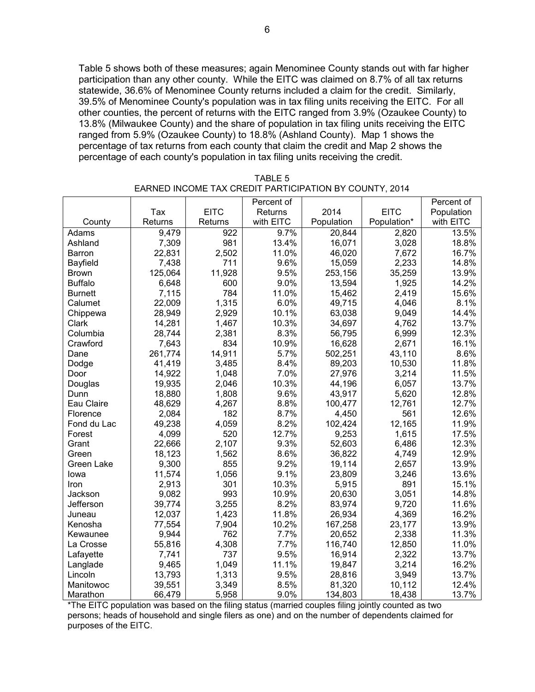Table 5 shows both of these measures; again Menominee County stands out with far higher participation than any other county. While the EITC was claimed on 8.7% of all tax returns statewide, 36.6% of Menominee County returns included a claim for the credit. Similarly, 39.5% of Menominee County's population was in tax filing units receiving the EITC. For all other counties, the percent of returns with the EITC ranged from 3.9% (Ozaukee County) to 13.8% (Milwaukee County) and the share of population in tax filing units receiving the EITC ranged from 5.9% (Ozaukee County) to 18.8% (Ashland County). Map 1 shows the percentage of tax returns from each county that claim the credit and Map 2 shows the percentage of each county's population in tax filing units receiving the credit.

|                 |         |             | Percent of |            |             | Percent of |
|-----------------|---------|-------------|------------|------------|-------------|------------|
|                 | Tax     | <b>EITC</b> | Returns    | 2014       | <b>EITC</b> | Population |
| County          | Returns | Returns     | with EITC  | Population | Population* | with EITC  |
| Adams           | 9,479   | 922         | 9.7%       | 20,844     | 2,820       | 13.5%      |
| Ashland         | 7,309   | 981         | 13.4%      | 16,071     | 3,028       | 18.8%      |
| Barron          | 22,831  | 2,502       | 11.0%      | 46,020     | 7,672       | 16.7%      |
| <b>Bayfield</b> | 7,438   | 711         | 9.6%       | 15,059     | 2,233       | 14.8%      |
| <b>Brown</b>    | 125,064 | 11,928      | 9.5%       | 253,156    | 35,259      | 13.9%      |
| <b>Buffalo</b>  | 6,648   | 600         | 9.0%       | 13,594     | 1,925       | 14.2%      |
| <b>Burnett</b>  | 7,115   | 784         | 11.0%      | 15,462     | 2,419       | 15.6%      |
| Calumet         | 22,009  | 1,315       | 6.0%       | 49,715     | 4,046       | 8.1%       |
| Chippewa        | 28,949  | 2,929       | 10.1%      | 63,038     | 9,049       | 14.4%      |
| Clark           | 14,281  | 1,467       | 10.3%      | 34,697     | 4,762       | 13.7%      |
| Columbia        | 28,744  | 2,381       | 8.3%       | 56,795     | 6,999       | 12.3%      |
| Crawford        | 7,643   | 834         | 10.9%      | 16,628     | 2,671       | 16.1%      |
| Dane            | 261,774 | 14,911      | 5.7%       | 502,251    | 43,110      | 8.6%       |
| Dodge           | 41,419  | 3,485       | 8.4%       | 89,203     | 10,530      | 11.8%      |
| Door            | 14,922  | 1,048       | 7.0%       | 27,976     | 3,214       | 11.5%      |
| Douglas         | 19,935  | 2,046       | 10.3%      | 44,196     | 6,057       | 13.7%      |
| Dunn            | 18,880  | 1,808       | 9.6%       | 43,917     | 5,620       | 12.8%      |
| Eau Claire      | 48,629  | 4,267       | 8.8%       | 100,477    | 12,761      | 12.7%      |
| Florence        | 2,084   | 182         | 8.7%       | 4,450      | 561         | 12.6%      |
| Fond du Lac     | 49,238  | 4,059       | 8.2%       | 102,424    | 12,165      | 11.9%      |
| Forest          | 4,099   | 520         | 12.7%      | 9,253      | 1,615       | 17.5%      |
| Grant           | 22,666  | 2,107       | 9.3%       | 52,603     | 6,486       | 12.3%      |
| Green           | 18,123  | 1,562       | 8.6%       | 36,822     | 4,749       | 12.9%      |
| Green Lake      | 9,300   | 855         | 9.2%       | 19,114     | 2,657       | 13.9%      |
| lowa            | 11,574  | 1,056       | 9.1%       | 23,809     | 3,246       | 13.6%      |
| Iron            | 2,913   | 301         | 10.3%      | 5,915      | 891         | 15.1%      |
| Jackson         | 9,082   | 993         | 10.9%      | 20,630     | 3,051       | 14.8%      |
| Jefferson       | 39,774  | 3,255       | 8.2%       | 83,974     | 9,720       | 11.6%      |
| Juneau          | 12,037  | 1,423       | 11.8%      | 26,934     | 4,369       | 16.2%      |
| Kenosha         | 77,554  | 7,904       | 10.2%      | 167,258    | 23,177      | 13.9%      |
| Kewaunee        | 9,944   | 762         | 7.7%       | 20,652     | 2,338       | 11.3%      |
| La Crosse       | 55,816  | 4,308       | 7.7%       | 116,740    | 12,850      | 11.0%      |
| Lafayette       | 7,741   | 737         | 9.5%       | 16,914     | 2,322       | 13.7%      |
| Langlade        | 9,465   | 1,049       | 11.1%      | 19,847     | 3,214       | 16.2%      |
| Lincoln         | 13,793  | 1,313       | 9.5%       | 28,816     | 3,949       | 13.7%      |
| Manitowoc       | 39,551  | 3,349       | 8.5%       | 81,320     | 10,112      | 12.4%      |
| Marathon        | 66,479  | 5,958       | 9.0%       | 134,803    | 18,438      | 13.7%      |

TABLE 5 EARNED INCOME TAX CREDIT PARTICIPATION BY COUNTY, 2014

\*The EITC population was based on the filing status (married couples filing jointly counted as two persons; heads of household and single filers as one) and on the number of dependents claimed for purposes of the EITC.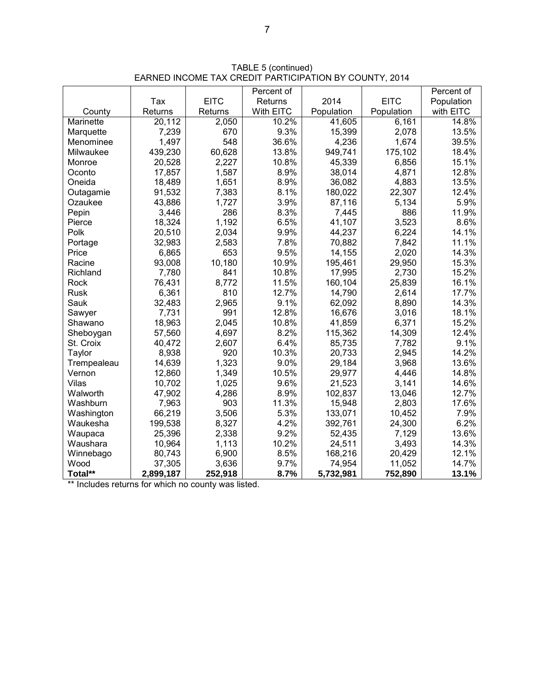|             |           |             | Percent of |            |             | Percent of |
|-------------|-----------|-------------|------------|------------|-------------|------------|
|             | Tax       | <b>EITC</b> | Returns    | 2014       | <b>EITC</b> | Population |
| County      | Returns   | Returns     | With EITC  | Population | Population  | with EITC  |
| Marinette   | 20,112    | 2,050       | 10.2%      | 41,605     | 6,161       | 14.8%      |
| Marquette   | 7,239     | 670         | 9.3%       | 15,399     | 2,078       | 13.5%      |
| Menominee   | 1,497     | 548         | 36.6%      | 4,236      | 1,674       | 39.5%      |
| Milwaukee   | 439,230   | 60,628      | 13.8%      | 949,741    | 175,102     | 18.4%      |
| Monroe      | 20,528    | 2,227       | 10.8%      | 45,339     | 6,856       | 15.1%      |
| Oconto      | 17,857    | 1,587       | 8.9%       | 38,014     | 4,871       | 12.8%      |
| Oneida      | 18,489    | 1,651       | 8.9%       | 36,082     | 4,883       | 13.5%      |
| Outagamie   | 91,532    | 7,383       | 8.1%       | 180,022    | 22,307      | 12.4%      |
| Ozaukee     | 43,886    | 1,727       | 3.9%       | 87,116     | 5,134       | 5.9%       |
| Pepin       | 3,446     | 286         | 8.3%       | 7,445      | 886         | 11.9%      |
| Pierce      | 18,324    | 1,192       | 6.5%       | 41,107     | 3,523       | 8.6%       |
| Polk        | 20,510    | 2,034       | 9.9%       | 44,237     | 6,224       | 14.1%      |
| Portage     | 32,983    | 2,583       | 7.8%       | 70,882     | 7,842       | 11.1%      |
| Price       | 6,865     | 653         | 9.5%       | 14,155     | 2,020       | 14.3%      |
| Racine      | 93,008    | 10,180      | 10.9%      | 195,461    | 29,950      | 15.3%      |
| Richland    | 7,780     | 841         | 10.8%      | 17,995     | 2,730       | 15.2%      |
| Rock        | 76,431    | 8,772       | 11.5%      | 160,104    | 25,839      | 16.1%      |
| <b>Rusk</b> | 6,361     | 810         | 12.7%      | 14,790     | 2,614       | 17.7%      |
| Sauk        | 32,483    | 2,965       | 9.1%       | 62,092     | 8,890       | 14.3%      |
| Sawyer      | 7,731     | 991         | 12.8%      | 16,676     | 3,016       | 18.1%      |
| Shawano     | 18,963    | 2,045       | 10.8%      | 41,859     | 6,371       | 15.2%      |
| Sheboygan   | 57,560    | 4,697       | 8.2%       | 115,362    | 14,309      | 12.4%      |
| St. Croix   | 40,472    | 2,607       | 6.4%       | 85,735     | 7,782       | 9.1%       |
| Taylor      | 8,938     | 920         | 10.3%      | 20,733     | 2,945       | 14.2%      |
| Trempealeau | 14,639    | 1,323       | 9.0%       | 29,184     | 3,968       | 13.6%      |
| Vernon      | 12,860    | 1,349       | 10.5%      | 29,977     | 4,446       | 14.8%      |
| Vilas       | 10,702    | 1,025       | 9.6%       | 21,523     | 3,141       | 14.6%      |
| Walworth    | 47,902    | 4,286       | 8.9%       | 102,837    | 13,046      | 12.7%      |
| Washburn    | 7,963     | 903         | 11.3%      | 15,948     | 2,803       | 17.6%      |
| Washington  | 66,219    | 3,506       | 5.3%       | 133,071    | 10,452      | 7.9%       |
| Waukesha    | 199,538   | 8,327       | 4.2%       | 392,761    | 24,300      | 6.2%       |
| Waupaca     | 25,396    | 2,338       | 9.2%       | 52,435     | 7,129       | 13.6%      |
| Waushara    | 10,964    | 1,113       | 10.2%      | 24,511     | 3,493       | 14.3%      |
| Winnebago   | 80,743    | 6,900       | 8.5%       | 168,216    | 20,429      | 12.1%      |
| Wood        | 37,305    | 3,636       | 9.7%       | 74,954     | 11,052      | 14.7%      |
| Total**     | 2,899,187 | 252,918     | 8.7%       | 5,732,981  | 752,890     | 13.1%      |

TABLE 5 (continued) EARNED INCOME TAX CREDIT PARTICIPATION BY COUNTY, 2014

\*\* Includes returns for which no county was listed.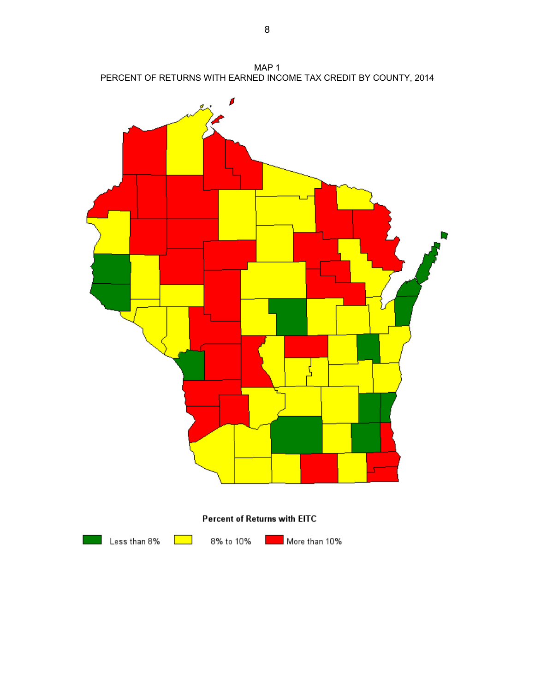